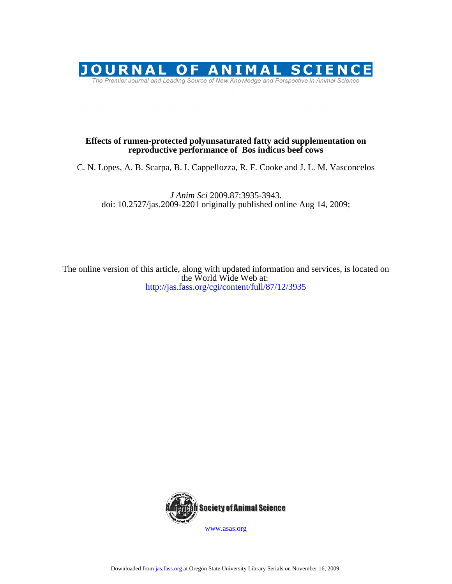

## **reproductive performance of Bos indicus beef cows Effects of rumen-protected polyunsaturated fatty acid supplementation on**

C. N. Lopes, A. B. Scarpa, B. I. Cappellozza, R. F. Cooke and J. L. M. Vasconcelos

doi: 10.2527/jas.2009-2201 originally published online Aug 14, 2009; *J Anim Sci* 2009.87:3935-3943.

<http://jas.fass.org/cgi/content/full/87/12/3935> the World Wide Web at: The online version of this article, along with updated information and services, is located on



[www.asas.org](http://www.asas.org/)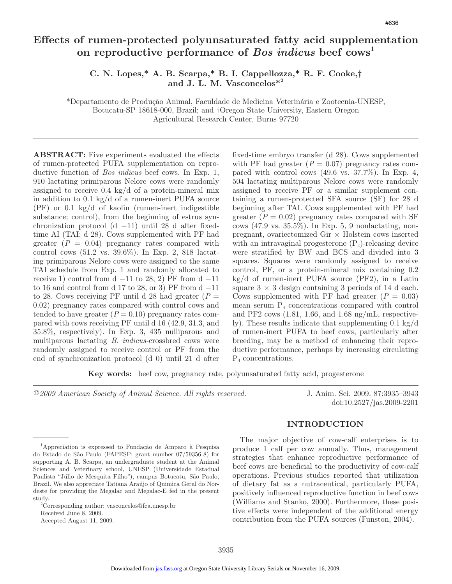# **Effects of rumen-protected polyunsaturated fatty acid supplementation**  on reproductive performance of *Bos indicus* beef cows<sup>1</sup>

## **C. N. Lopes,\* A. B. Scarpa,\* B. I. Cappellozza,\* R. F. Cooke,† and J. L. M. Vasconcelos\*<sup>2</sup>**

\*Departamento de Produção Animal, Faculdade de Medicina Veterinária e Zootecnia-UNESP, Botucatu-SP 18618-000, Brazil; and †Oregon State University, Eastern Oregon Agricultural Research Center, Burns 97720

**ABSTRACT:** Five experiments evaluated the effects of rumen-protected PUFA supplementation on reproductive function of *Bos indicus* beef cows. In Exp. 1, 910 lactating primiparous Nelore cows were randomly assigned to receive 0.4 kg/d of a protein-mineral mix in addition to 0.1 kg/d of a rumen-inert PUFA source (PF) or 0.1 kg/d of kaolin (rumen-inert indigestible substance; control), from the beginning of estrus synchronization protocol (d −11) until 28 d after fixedtime AI (TAI; d 28). Cows supplemented with PF had greater  $(P = 0.04)$  pregnancy rates compared with control cows (51.2 vs. 39.6%). In Exp. 2, 818 lactating primiparous Nelore cows were assigned to the same TAI schedule from Exp. 1 and randomly allocated to receive 1) control from d  $-11$  to 28, 2) PF from d  $-11$ to 16 and control from d 17 to 28, or 3) PF from d  $-11$ to 28. Cows receiving PF until d 28 had greater  $(P =$ 0.02) pregnancy rates compared with control cows and tended to have greater  $(P = 0.10)$  pregnancy rates compared with cows receiving PF until d 16 (42.9, 31.3, and 35.8%, respectively). In Exp. 3, 435 nulliparous and multiparous lactating *B. indicus-*crossbred cows were randomly assigned to receive control or PF from the end of synchronization protocol (d 0) until 21 d after fixed-time embryo transfer (d 28). Cows supplemented with PF had greater  $(P = 0.07)$  pregnancy rates compared with control cows (49.6 vs. 37.7%). In Exp. 4, 504 lactating multiparous Nelore cows were randomly assigned to receive PF or a similar supplement containing a rumen-protected SFA source (SF) for 28 d beginning after TAI. Cows supplemented with PF had greater  $(P = 0.02)$  pregnancy rates compared with SF cows (47.9 vs. 35.5%). In Exp. 5, 9 nonlactating, nonpregnant, ovariectomized Gir  $\times$  Holstein cows inserted with an intravaginal progesterone  $(P_4)$ -releasing device were stratified by BW and BCS and divided into 3 squares. Squares were randomly assigned to receive control, PF, or a protein-mineral mix containing 0.2 kg/d of rumen-inert PUFA source (PF2), in a Latin square  $3 \times 3$  design containing 3 periods of 14 d each. Cows supplemented with PF had greater  $(P = 0.03)$ mean serum  $P_4$  concentrations compared with control and PF2 cows (1.81, 1.66, and 1.68 ng/mL, respectively). These results indicate that supplementing 0.1 kg/d of rumen-inert PUFA to beef cows, particularly after breeding, may be a method of enhancing their reproductive performance, perhaps by increasing circulating  $P_4$  concentrations.

**Key words:** beef cow, pregnancy rate, polyunsaturated fatty acid, progesterone

*©2009 American Society of Animal Science. All rights reserved.* J. Anim. Sci. 2009. 87:3935–3943

doi:10.2527/jas.2009-2201

### **INTRODUCTION**

The major objective of cow-calf enterprises is to produce 1 calf per cow annually. Thus, management strategies that enhance reproductive performance of beef cows are beneficial to the productivity of cow-calf operations. Previous studies reported that utilization of dietary fat as a nutraceutical, particularly PUFA, positively influenced reproductive function in beef cows (Williams and Stanko, 2000). Furthermore, these positive effects were independent of the additional energy contribution from the PUFA sources (Funston, 2004).

<sup>1</sup> Appreciation is expressed to Fundação de Amparo à Pesquisa do Estado de São Paulo (FAPESP; grant number 07/59356-8) for supporting A. B. Scarpa, an undergraduate student at the Animal Sciences and Veterinary school, UNESP (Universidade Estadual Paulista "Júlio de Mesquita Filho"), campus Botucatu, São Paulo, Brazil. We also appreciate Tatiana Araújo of Quimica Geral do Nordeste for providing the Megalac and Megalac-E fed in the present study.

<sup>&</sup>lt;sup>2</sup>Corresponding author: vasconcelos@fca.unesp.br Received June 8, 2009.

Accepted August 11, 2009.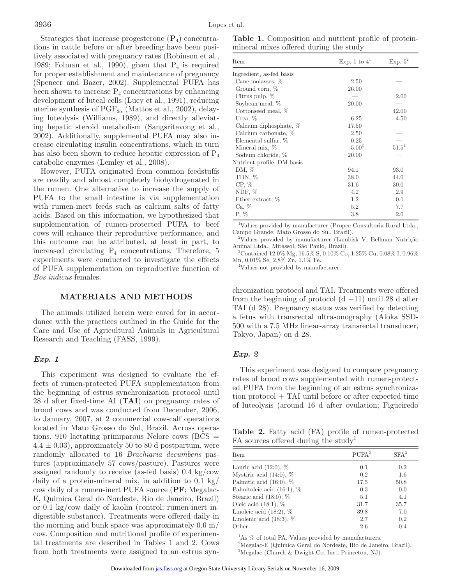Strategies that increase progesterone  $(\mathbf{P}_4)$  concentrations in cattle before or after breeding have been positively associated with pregnancy rates (Robinson et al., 1989; Folman et al., 1990), given that  $P_4$  is required for proper establishment and maintenance of pregnancy (Spencer and Bazer, 2002). Supplemental PUFA has been shown to increase  $P_4$  concentrations by enhancing development of luteal cells (Lucy et al., 1991), reducing uterine synthesis of  $\mathrm{PGF}_{2\alpha}$  (Mattos et al., 2002), delaying luteolysis (Williams, 1989), and directly alleviating hepatic steroid metabolism (Sangsritavong et al., 2002). Additionally, supplemental PUFA may also increase circulating insulin concentrations, which in turn has also been shown to reduce hepatic expression of  $P_4$ catabolic enzymes (Lemley et al., 2008).

However, PUFA originated from common feedstuffs are readily and almost completely biohydrogenated in the rumen. One alternative to increase the supply of PUFA to the small intestine is via supplementation with rumen-inert feeds such as calcium salts of fatty acids. Based on this information, we hypothesized that supplementation of rumen-protected PUFA to beef cows will enhance their reproductive performance, and this outcome can be attributed, at least in part, to increased circulating  $P_4$  concentrations. Therefore, 5 experiments were conducted to investigate the effects of PUFA supplementation on reproductive function of *Bos indicus* females.

### **MATERIALS AND METHODS**

The animals utilized herein were cared for in accordance with the practices outlined in the Guide for the Care and Use of Agricultural Animals in Agricultural Research and Teaching (FASS, 1999).

#### *Exp. 1*

This experiment was designed to evaluate the effects of rumen-protected PUFA supplementation from the beginning of estrus synchronization protocol until 28 d after fixed-time AI (**TAI**) on pregnancy rates of brood cows and was conducted from December, 2006, to January, 2007, at 2 commercial cow-calf operations located in Mato Grosso do Sul, Brazil. Across operations, 910 lactating primiparous Nelore cows (BCS =  $4.4 \pm 0.03$ , approximately 50 to 80 d postpartum, were randomly allocated to 16 *Brachiaria decumbens* pastures (approximately 57 cows/pasture). Pastures were assigned randomly to receive (as-fed basis) 0.4 kg/cow daily of a protein-mineral mix, in addition to  $0.1 \text{ kg}$ cow daily of a rumen-inert PUFA source (**PF**; Megalac-E, Quimica Geral do Nordeste, Rio de Janeiro, Brazil) or 0.1 kg/cow daily of kaolin (control; rumen-inert indigestible substance). Treatments were offered daily in the morning and bunk space was approximately 0.6 m/ cow. Composition and nutritional profile of experimental treatments are described in Tables 1 and 2. Cows from both treatments were assigned to an estrus syn-

**Table 1.** Composition and nutrient profile of proteinmineral mixes offered during the study

| Item                       | Exp. 1 to $4^1$ | Exp. $5^2$ |
|----------------------------|-----------------|------------|
| Ingredient, as-fed basis   |                 |            |
| Cane molasses, %           | 2.50            |            |
| Ground corn, %             | 26.00           |            |
| Citrus pulp, $%$           |                 | 2.00       |
| Soybean meal, %            | 20.00           |            |
| Cottonseed meal, \%        |                 | 42.00      |
| Urea, %                    | 6.25            | 4.50       |
| Calcium diphosphate, %     | 17.50           |            |
| Calcium carbonate, %       | 2.50            |            |
| Elemental sulfur, %        | 0.25            |            |
| Mineral mix, %             | $5.00^{3}$      | $51.5^4$   |
| Sodium chloride, %         | 20.00           |            |
| Nutrient profile, DM basis |                 |            |
| DM, %                      | 94.1            | 93.0       |
| TDN, %                     | 38.0            | 44.0       |
| $CP, \%$                   | 31.6            | 30.0       |
| NDF, $%$                   | 4.2             | 2.9        |
| Ether extract, %           | 1.2             | 0.1        |
| Ca, %                      | 5.2             | 7.7        |
| $P, \%$                    | 3.8             | $2.0\,$    |

<sup>1</sup>Values provided by manufacturer (Propec Consultoria Rural Ltda., Campo Grande, Mato Grosso do Sul, Brazil).

2 Values provided by manufacturer (Lambisk V, Bellman Nutrição Animal Ltda., Mirassol, São Paulo, Brazil).

3 Contained 12.0% Mg, 16.5% S, 0.10% Co, 1.25% Cu, 0.08% I, 0.96% Mn, 0.01% Se, 2.8% Zn, 1.1% Fe.

4 Values not provided by manufacturer.

chronization protocol and TAI. Treatments were offered from the beginning of protocol  $(d -11)$  until 28 d after TAI (d 28). Pregnancy status was verified by detecting a fetus with transrectal ultrasonography (Aloka SSD-500 with a 7.5 MHz linear-array transrectal transducer, Tokyo, Japan) on d 28.

## *Exp. 2*

This experiment was designed to compare pregnancy rates of brood cows supplemented with rumen-protected PUFA from the beginning of an estrus synchronization protocol + TAI until before or after expected time of luteolysis (around 16 d after ovulation; Figueiredo

**Table 2.** Fatty acid (FA) profile of rumen-protected FA sources offered during the study<sup>1</sup>

| Item                          | PUFA <sup>2</sup> | $SFA^3$ |
|-------------------------------|-------------------|---------|
| Lauric acid $(12:0)$ , $%$    | 0.1               | 0.2     |
| Mystiric acid $(14:0)$ , %    | 0.2               | 1.6     |
| Palmitic acid $(16:0)$ , $%$  | 17.5              | 50.8    |
| Palmitoleic acid $(16:1)$ , % | 0.3               | 0.0     |
| Stearic acid $(18:0)$ , %     | 5.1               | 4.1     |
| Oleic acid $(18:1)$ , %       | 31.7              | 35.7    |
| Linoleic acid $(18:2)$ , $%$  | 39.8              | 7.0     |
| Linolenic acid $(18:3)$ , $%$ | 2.7               | 0.2     |
| Other                         | 2.6               | 0.4     |

<sup>1</sup>As % of total FA. Values provided by manufacturers.

2 Megalac-E (Quimica Geral do Nordeste, Rio de Janeiro, Brazil). 3 Megalac (Church & Dwight Co. Inc., Princeton, NJ).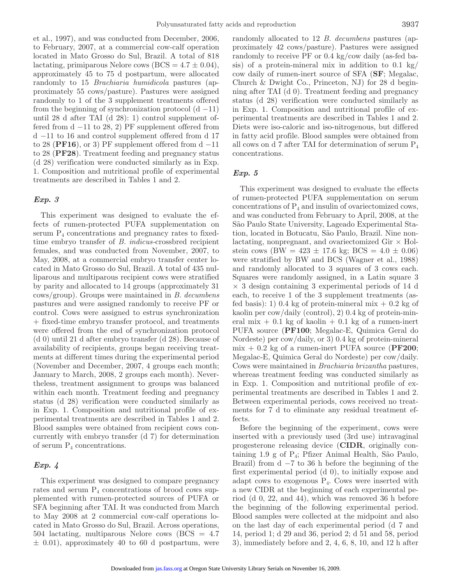et al., 1997), and was conducted from December, 2006, to February, 2007, at a commercial cow-calf operation located in Mato Grosso do Sul, Brazil. A total of 818 lactating, primiparous Nelore cows ( $BCS = 4.7 \pm 0.04$ ), approximately 45 to 75 d postpartum, were allocated randomly to 15 *Brachiaria humidicola* pastures (approximately 55 cows/pasture). Pastures were assigned randomly to 1 of the 3 supplement treatments offered from the beginning of synchronization protocol  $(d - 11)$ until 28 d after TAI (d 28): 1) control supplement offered from d −11 to 28, 2) PF supplement offered from d −11 to 16 and control supplement offered from d 17 to 28 ( $\text{PFI6}$ ), or 3) PF supplement offered from d  $-11$ to 28 (**PF28**). Treatment feeding and pregnancy status (d 28) verification were conducted similarly as in Exp. 1. Composition and nutritional profile of experimental treatments are described in Tables 1 and 2.

### *Exp. 3*

This experiment was designed to evaluate the effects of rumen-protected PUFA supplementation on serum  $P_4$  concentrations and pregnancy rates to fixedtime embryo transfer of *B. indicus-*crossbred recipient females, and was conducted from November, 2007, to May, 2008, at a commercial embryo transfer center located in Mato Grosso do Sul, Brazil. A total of 435 nulliparous and multiparous recipient cows were stratified by parity and allocated to 14 groups (approximately 31 cows/group). Groups were maintained in *B. decumbens* pastures and were assigned randomly to receive PF or control. Cows were assigned to estrus synchronization + fixed-time embryo transfer protocol, and treatments were offered from the end of synchronization protocol (d 0) until 21 d after embryo transfer (d 28). Because of availability of recipients, groups began receiving treatments at different times during the experimental period (November and December, 2007, 4 groups each month; January to March, 2008, 2 groups each month). Nevertheless, treatment assignment to groups was balanced within each month. Treatment feeding and pregnancy status (d 28) verification were conducted similarly as in Exp. 1. Composition and nutritional profile of experimental treatments are described in Tables 1 and 2. Blood samples were obtained from recipient cows concurrently with embryo transfer (d 7) for determination of serum  $P_4$  concentrations.

## *Exp. 4*

This experiment was designed to compare pregnancy rates and serum  $P_4$  concentrations of brood cows supplemented with rumen-protected sources of PUFA or SFA beginning after TAI. It was conducted from March to May 2008 at 2 commercial cow-calf operations located in Mato Grosso do Sul, Brazil. Across operations, 504 lactating, multiparous Nelore cows (BCS = 4.7  $\pm$  0.01), approximately 40 to 60 d postpartum, were randomly allocated to 12 *B. decumbens* pastures (approximately 42 cows/pasture). Pastures were assigned randomly to receive PF or 0.4 kg/cow daily (as-fed basis) of a protein-mineral mix in addition to 0.1 kg/ cow daily of rumen-inert source of SFA (**SF**; Megalac, Church & Dwight Co., Princeton, NJ) for 28 d beginning after TAI (d 0). Treatment feeding and pregnancy status (d 28) verification were conducted similarly as in Exp. 1. Composition and nutritional profile of experimental treatments are described in Tables 1 and 2. Diets were iso-caloric and iso-nitrogenous, but differed in fatty acid profile. Blood samples were obtained from all cows on d 7 after TAI for determination of serum  $P_4$ concentrations.

## *Exp. 5*

This experiment was designed to evaluate the effects of rumen-protected PUFA supplementation on serum concentrations of  $P_4$  and insulin of ovariectomized cows, and was conducted from February to April, 2008, at the São Paulo State University, Lageado Experimental Station, located in Botucatu, São Paulo, Brazil. Nine nonlactating, nonpregnant, and ovariectomized Gir  $\times$  Holstein cows (BW =  $423 \pm 17.6$  kg; BCS =  $4.0 \pm 0.06$ ) were stratified by BW and BCS (Wagner et al., 1988) and randomly allocated to 3 squares of 3 cows each. Squares were randomly assigned, in a Latin square 3  $\times$  3 design containing 3 experimental periods of 14 d each, to receive 1 of the 3 supplement treatments (asfed basis): 1) 0.4 kg of protein-mineral mix  $+$  0.2 kg of kaolin per cow/daily (control), 2) 0.4 kg of protein-mineral mix  $+$  0.1 kg of kaolin  $+$  0.1 kg of a rumen-inert PUFA source (**PF100**; Megalac-E, Quimica Geral do Nordeste) per cow/daily, or 3) 0.4 kg of protein-mineral mix + 0.2 kg of a rumen-inert PUFA source (**PF200**; Megalac-E, Quimica Geral do Nordeste) per cow/daily. Cows were maintained in *Brachiaria brizantha* pastures, whereas treatment feeding was conducted similarly as in Exp. 1. Composition and nutritional profile of experimental treatments are described in Tables 1 and 2. Between experimental periods, cows received no treatments for 7 d to eliminate any residual treatment effects.

Before the beginning of the experiment, cows were inserted with a previously used (3rd use) intravaginal progesterone releasing device (**CIDR**, originally containing 1.9 g of P4; Pfizer Animal Health, São Paulo, Brazil) from  $d -7$  to 36 h before the beginning of the first experimental period (d 0), to initially expose and adapt cows to exogenous  $P_4$ . Cows were inserted with a new CIDR at the beginning of each experimental period (d 0, 22, and 44), which was removed 36 h before the beginning of the following experimental period. Blood samples were collected at the midpoint and also on the last day of each experimental period (d 7 and 14, period 1; d 29 and 36, period 2; d 51 and 58, period 3), immediately before and 2, 4, 6, 8, 10, and 12 h after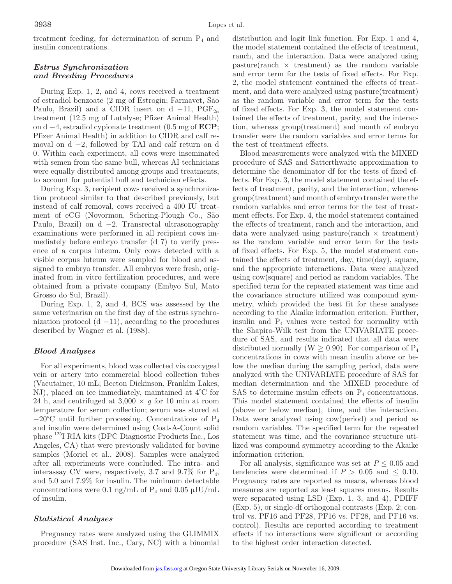treatment feeding, for determination of serum  $P_4$  and insulin concentrations.

## *Estrus Synchronization and Breeding Procedures*

During Exp. 1, 2, and 4, cows received a treatment of estradiol benzoate (2 mg of Estrogin; Farmavet, São Paulo, Brazil) and a CIDR insert on d  $-11$ , PGF<sub>2 $\alpha$ </sub> treatment (12.5 mg of Lutalyse; Pfizer Animal Health) on d −4, estradiol cypionate treatment (0.5 mg of **ECP**; Pfizer Animal Health) in addition to CIDR and calf removal on d −2, followed by TAI and calf return on d 0. Within each experiment, all cows were inseminated with semen from the same bull, whereas AI technicians were equally distributed among groups and treatments, to account for potential bull and technician effects.

During Exp. 3, recipient cows received a synchronization protocol similar to that described previously, but instead of calf removal, cows received a 400 IU treatment of eCG (Novormon, Schering-Plough Co., São Paulo, Brazil) on d −2. Transrectal ultrasonography examinations were performed in all recipient cows immediately before embryo transfer (d 7) to verify presence of a corpus luteum. Only cows detected with a visible corpus luteum were sampled for blood and assigned to embryo transfer. All embryos were fresh, originated from in vitro fertilization procedures, and were obtained from a private company (Embyo Sul, Mato Grosso do Sul, Brazil).

During Exp. 1, 2, and 4, BCS was assessed by the same veterinarian on the first day of the estrus synchronization protocol  $(d - 11)$ , according to the procedures described by Wagner et al. (1988).

## *Blood Analyses*

For all experiments, blood was collected via coccygeal vein or artery into commercial blood collection tubes (Vacutainer, 10 mL; Becton Dickinson, Franklin Lakes, NJ), placed on ice immediately, maintained at 4°C for 24 h, and centrifuged at  $3,000 \times g$  for 10 min at room temperature for serum collection; serum was stored at  $-20^{\circ}$ C until further processing. Concentrations of P<sub>4</sub> and insulin were determined using Coat-A-Count solid phase 125I RIA kits (DPC Diagnostic Products Inc., Los Angeles, CA) that were previously validated for bovine samples (Moriel et al., 2008). Samples were analyzed after all experiments were concluded. The intra- and interassay CV were, respectively, 3.7 and  $9.7\%$  for  $P_4$ , and 5.0 and 7.9% for insulin. The minimum detectable concentrations were 0.1 ng/mL of  $P_4$  and 0.05  $\mu$ IU/mL of insulin.

## *Statistical Analyses*

Pregnancy rates were analyzed using the GLIMMIX procedure (SAS Inst. Inc., Cary, NC) with a binomial

distribution and logit link function. For Exp. 1 and 4, the model statement contained the effects of treatment, ranch, and the interaction. Data were analyzed using  $\text{pasture}(\text{rand } \times \text{treatment})$  as the random variable and error term for the tests of fixed effects. For Exp. 2, the model statement contained the effects of treatment, and data were analyzed using pasture(treatment) as the random variable and error term for the tests of fixed effects. For Exp. 3, the model statement contained the effects of treatment, parity, and the interaction, whereas group(treatment) and month of embryo transfer were the random variables and error terms for the test of treatment effects.

Blood measurements were analyzed with the MIXED procedure of SAS and Satterthwaite approximation to determine the denominator df for the tests of fixed effects. For Exp. 3, the model statement contained the effects of treatment, parity, and the interaction, whereas group(treatment) and month of embryo transfer were the random variables and error terms for the test of treatment effects. For Exp. 4, the model statement contained the effects of treatment, ranch and the interaction, and data were analyzed using pasture(ranch  $\times$  treatment) as the random variable and error term for the tests of fixed effects. For Exp. 5, the model statement contained the effects of treatment, day, time(day), square, and the appropriate interactions. Data were analyzed using cow(square) and period as random variables. The specified term for the repeated statement was time and the covariance structure utilized was compound symmetry, which provided the best fit for these analyses according to the Akaike information criterion. Further, insulin and  $P_4$  values were tested for normality with the Shapiro-Wilk test from the UNIVARIATE procedure of SAS, and results indicated that all data were distributed normally (W  $\geq$  0.90). For comparison of P<sub>4</sub> concentrations in cows with mean insulin above or below the median during the sampling period, data were analyzed with the UNIVARIATE procedure of SAS for median determination and the MIXED procedure of SAS to determine insulin effects on  $P_4$  concentrations. This model statement contained the effects of insulin (above or below median), time, and the interaction. Data were analyzed using cow(period) and period as random variables. The specified term for the repeated statement was time, and the covariance structure utilized was compound symmetry according to the Akaike information criterion.

For all analysis, significance was set at  $P \leq 0.05$  and tendencies were determined if  $P > 0.05$  and  $\leq 0.10$ . Pregnancy rates are reported as means, whereas blood measures are reported as least squares means. Results were separated using LSD (Exp. 1, 3, and 4), PDIFF (Exp. 5), or single-df orthogonal contrasts (Exp. 2; control vs. PF16 and PF28, PF16 vs. PF28, and PF16 vs. control). Results are reported according to treatment effects if no interactions were significant or according to the highest order interaction detected.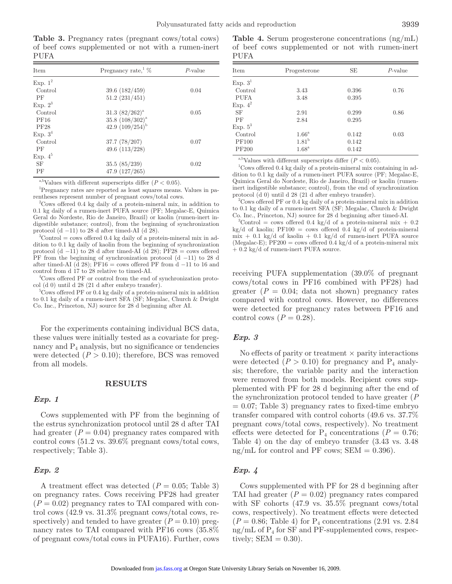**Table 3.** Pregnancy rates (pregnant cows/total cows) of beef cows supplemented or not with a rumen-inert PUFA

| <b>Item</b> | Pregnancy rate, $\%$ | $P$ -value |
|-------------|----------------------|------------|
| Exp. $1^2$  |                      |            |
| Control     | 39.6(182/459)        | 0.04       |
| PF          | 51.2(231/451)        |            |
| Exp. $2^3$  |                      |            |
| Control     | $31.3~(82/262)^{a}$  | 0.05       |
| <b>PF16</b> | $35.8~(108/302)^{a}$ |            |
| <b>PF28</b> | 42.9 $(109/254)^{b}$ |            |
| Exp. $3^4$  |                      |            |
| Control     | 37.7(78/207)         | 0.07       |
| PF          | 49.6 $(113/228)$     |            |
| Exp. $4^5$  |                      |            |
| <b>SF</b>   | 35.5(85/239)         | 0.02       |
| PF          | 47.9(127/265)        |            |

<sup>a,b</sup>Values with different superscripts differ  $(P < 0.05)$ .

1 Pregnancy rates are reported as least squares means. Values in parentheses represent number of pregnant cows/total cows.

2 Cows offered 0.4 kg daily of a protein-mineral mix, in addition to 0.1 kg daily of a rumen-inert PUFA source (PF; Megalac-E, Quimica Geral do Nordeste, Rio de Janeiro, Brazil) or kaolin (rumen-inert indigestible substance; control), from the beginning of synchronization protocol  $(d -11)$  to 28 d after timed-AI  $(d 28)$ .

 ${}^{3}$ Control = cows offered 0.4 kg daily of a protein-mineral mix in addition to 0.1 kg daily of kaolin from the beginning of synchronization protocol (d −11) to 28 d after timed-AI (d 28);  $PF28 = \text{cows offered}$ PF from the beginning of synchronization protocol (d −11) to 28 d after timed-AI (d 28);  $\overline{PF16} = \text{cows offered PF from d} -11$  to 16 and control from d 17 to 28 relative to timed-AI.

4 Cows offered PF or control from the end of synchronization protocol (d 0) until d 28 (21 d after embryo transfer).

<sup>5</sup>Cows offered PF or 0.4 kg daily of a protein-mineral mix in addition to 0.1 kg daily of a rumen-inert SFA (SF; Megalac, Church & Dwight Co. Inc., Princeton, NJ) source for 28 d beginning after AI.

For the experiments containing individual BCS data, these values were initially tested as a covariate for pregnancy and  $P_4$  analysis, but no significance or tendencies were detected  $(P > 0.10)$ ; therefore, BCS was removed from all models.

#### **RESULTS**

### *Exp. 1*

Cows supplemented with PF from the beginning of the estrus synchronization protocol until 28 d after TAI had greater  $(P = 0.04)$  pregnancy rates compared with control cows (51.2 vs. 39.6% pregnant cows/total cows, respectively; Table 3).

#### *Exp. 2*

A treatment effect was detected  $(P = 0.05;$  Table 3) on pregnancy rates. Cows receiving PF28 had greater  $(P = 0.02)$  pregnancy rates to TAI compared with control cows (42.9 vs. 31.3% pregnant cows/total cows, respectively) and tended to have greater  $(P = 0.10)$  pregnancy rates to TAI compared with PF16 cows (35.8% of pregnant cows/total cows in PUFA16). Further, cows

**Table 4.** Serum progesterone concentrations (ng/mL) of beef cows supplemented or not with rumen-inert PUFA

| Item         | Progesterone        | SE    | $P$ -value |
|--------------|---------------------|-------|------------|
| Exp. $3^1$   |                     |       |            |
| Control      | 3.43                | 0.396 | 0.76       |
| PUFA         | 3.48                | 0.395 |            |
| Exp. $4^2$   |                     |       |            |
| <b>SF</b>    | 2.91                | 0.299 | 0.86       |
| PF           | 2.84                | 0.295 |            |
| Exp. $5^3$   |                     |       |            |
| Control      | $1.66^{\mathrm{a}}$ | 0.142 | 0.03       |
| <b>PF100</b> | 1.81 <sup>b</sup>   | 0.142 |            |
| <b>PF200</b> | 1.68 <sup>a</sup>   | 0.142 |            |
|              |                     |       |            |

<sup>a,b</sup>Values with different superscripts differ  $(P < 0.05)$ .

1 Cows offered 0.4 kg daily of a protein-mineral mix containing in addition to 0.1 kg daily of a rumen-inert PUFA source (PF; Megalac-E, Quimica Geral do Nordeste, Rio de Janeiro, Brazil) or kaolin (rumeninert indigestible substance; control), from the end of synchronization protocol (d 0) until d 28 (21 d after embryo transfer).

<sup>2</sup> Cows offered PF or 0.4 kg daily of a protein-mineral mix in addition to 0.1 kg daily of a rumen-inert SFA (SF; Megalac, Church & Dwight Co. Inc., Princeton, NJ) source for 28 d beginning after timed-AI.

<sup>3</sup>Control = cows offered 0.4 kg/d of a protein-mineral mix + 0.2 kg/d of kaolin; PF100 = cows offered 0.4 kg/d of protein-mineral  $\text{mix} + 0.1 \text{ kg/d of } \text{koolin} + 0.1 \text{ kg/d of } \text{rumen-inert } P \text{UFA}$  source (Megalac-E);  $PF200 = \text{cows offered } 0.4 \text{ kg/d of a protein-mineral mix}$  $+ 0.2$  kg/d of rumen-inert PUFA source.

receiving PUFA supplementation (39.0% of pregnant cows/total cows in PF16 combined with PF28) had greater  $(P = 0.04; \text{ data not shown})$  pregnancy rates compared with control cows. However, no differences were detected for pregnancy rates between PF16 and control cows  $(P = 0.28)$ .

## *Exp. 3*

No effects of parity or treatment  $\times$  parity interactions were detected  $(P > 0.10)$  for pregnancy and  $P_4$  analysis; therefore, the variable parity and the interaction were removed from both models. Recipient cows supplemented with PF for 28 d beginning after the end of the synchronization protocol tended to have greater (*P*  $= 0.07$ ; Table 3) pregnancy rates to fixed-time embryo transfer compared with control cohorts (49.6 vs. 37.7% pregnant cows/total cows, respectively). No treatment effects were detected for  $P_4$  concentrations ( $P = 0.76$ ; Table 4) on the day of embryo transfer (3.43 vs. 3.48 ng/mL for control and PF cows;  $SEM = 0.396$ .

## *Exp. 4*

Cows supplemented with PF for 28 d beginning after TAI had greater  $(P = 0.02)$  pregnancy rates compared with SF cohorts (47.9 vs. 35.5% pregnant cows/total cows, respectively). No treatment effects were detected  $(P = 0.86;$  Table 4) for  $P_4$  concentrations  $(2.91 \text{ vs. } 2.84)$ ng/mL of  $P_4$  for SF and PF-supplemented cows, respectively;  $SEM = 0.30$ ).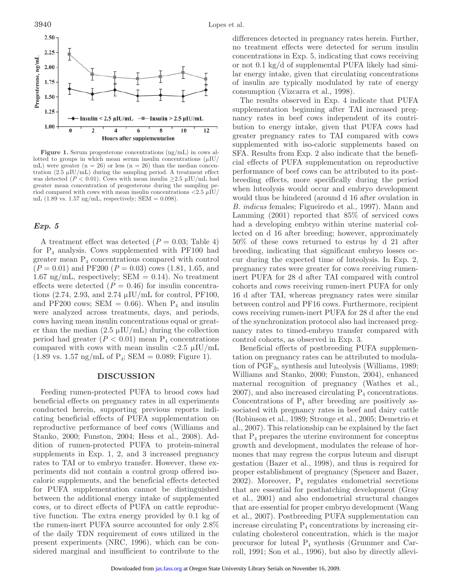

**Figure 1.** Serum progesterone concentrations (ng/mL) in cows allotted to groups in which mean serum insulin concentrations  $(\mu I U)$ mL) were greater  $(n = 26)$  or less  $(n = 26)$  than the median concentration  $(2.5 \mu I U/mL)$  during the sampling period. A treatment effect was detected ( $P < 0.01$ ). Cows with mean insulin  $\geq 2.5 \mu$ IU/mL had greater mean concentration of progesterone during the sampling period compared with cows with mean insulin concentrations  $\langle 2.5 \mu I U \rangle$ mL  $(1.89 \text{ vs. } 1.57 \text{ ng/mL},$  respectively; SEM = 0.098).

#### *Exp. 5*

A treatment effect was detected  $(P = 0.03;$  Table 4) for  $P_4$  analysis. Cows supplemented with PF100 had greater mean  $P_4$  concentrations compared with control (*P* = 0.01) and PF200 (*P* = 0.03) cows (1.81, 1.65, and 1.67 ng/mL, respectively; SEM = 0.14). No treatment effects were detected  $(P = 0.46)$  for insulin concentrations (2.74, 2.93, and 2.74  $\mu$ IU/mL for control, PF100, and PF200 cows; SEM =  $0.66$ ). When P<sub>4</sub> and insulin were analyzed across treatments, days, and periods, cows having mean insulin concentrations equal or greater than the median  $(2.5 \mu I U/mL)$  during the collection period had greater  $(P < 0.01)$  mean  $P_4$  concentrations compared with cows with mean insulin  $\langle 2.5 \mu \text{IU/mL} \rangle$  $(1.89 \text{ vs. } 1.57 \text{ ng/mL of } P_4$ ; SEM = 0.089; Figure 1).

### **DISCUSSION**

Feeding rumen-protected PUFA to brood cows had beneficial effects on pregnancy rates in all experiments conducted herein, supporting previous reports indicating beneficial effects of PUFA supplementation on reproductive performance of beef cows (Williams and Stanko, 2000; Funston, 2004; Hess et al., 2008). Addition of rumen-protected PUFA to protein-mineral supplements in Exp. 1, 2, and 3 increased pregnancy rates to TAI or to embryo transfer. However, these experiments did not contain a control group offered isocaloric supplements, and the beneficial effects detected for PUFA supplementation cannot be distinguished between the additional energy intake of supplemented cows, or to direct effects of PUFA on cattle reproductive function. The extra energy provided by 0.1 kg of the rumen-inert PUFA source accounted for only 2.8% of the daily TDN requirement of cows utilized in the present experiments (NRC, 1996), which can be considered marginal and insufficient to contribute to the differences detected in pregnancy rates herein. Further, no treatment effects were detected for serum insulin concentrations in Exp. 5, indicating that cows receiving or not 0.1 kg/d of supplemental PUFA likely had similar energy intake, given that circulating concentrations of insulin are typically modulated by rate of energy consumption (Vizcarra et al., 1998).

The results observed in Exp. 4 indicate that PUFA supplementation beginning after TAI increased pregnancy rates in beef cows independent of its contribution to energy intake, given that PUFA cows had greater pregnancy rates to TAI compared with cows supplemented with iso-caloric supplements based on SFA. Results from Exp. 2 also indicate that the beneficial effects of PUFA supplementation on reproductive performance of beef cows can be attributed to its postbreeding effects, more specifically during the period when luteolysis would occur and embryo development would thus be hindered (around d 16 after ovulation in *B. indicus* females; Figueiredo et al., 1997). Mann and Lamming (2001) reported that 85% of serviced cows had a developing embryo within uterine material collected on d 16 after breeding; however, approximately 50% of these cows returned to estrus by d 21 after breeding, indicating that significant embryo losses occur during the expected time of luteolysis. In Exp. 2, pregnancy rates were greater for cows receiving rumeninert PUFA for 28 d after TAI compared with control cohorts and cows receiving rumen-inert PUFA for only 16 d after TAI, whereas pregnancy rates were similar between control and PF16 cows. Furthermore, recipient cows receiving rumen-inert PUFA for 28 d after the end of the synchronization protocol also had increased pregnancy rates to timed-embryo transfer compared with control cohorts, as observed in Exp. 3.

Beneficial effects of postbreeding PUFA supplementation on pregnancy rates can be attributed to modulation of  $\mathrm{PGF}_{2\alpha}$  synthesis and luteolysis (Williams, 1989; Williams and Stanko, 2000; Funston, 2004), enhanced maternal recognition of pregnancy (Wathes et al.,  $2007$ , and also increased circulating  $P<sub>4</sub>$  concentrations. Concentrations of  $P_4$  after breeding are positively associated with pregnancy rates in beef and dairy cattle (Robinson et al., 1989; Stronge et al., 2005; Demetrio et al., 2007). This relationship can be explained by the fact that  $P_4$  prepares the uterine environment for conceptus growth and development, modulates the release of hormones that may regress the corpus luteum and disrupt gestation (Bazer et al., 1998), and thus is required for proper establishment of pregnancy (Spencer and Bazer, 2002). Moreover,  $P_4$  regulates endometrial secretions that are essential for posthatching development (Gray et al., 2001) and also endometrial structural changes that are essential for proper embryo development (Wang et al., 2007). Postbreeding PUFA supplementation can increase circulating  $P_4$  concentrations by increasing circulating cholesterol concentration, which is the major precursor for luteal  $P_4$  synthesis (Grummer and Carroll, 1991; Son et al., 1996), but also by directly allevi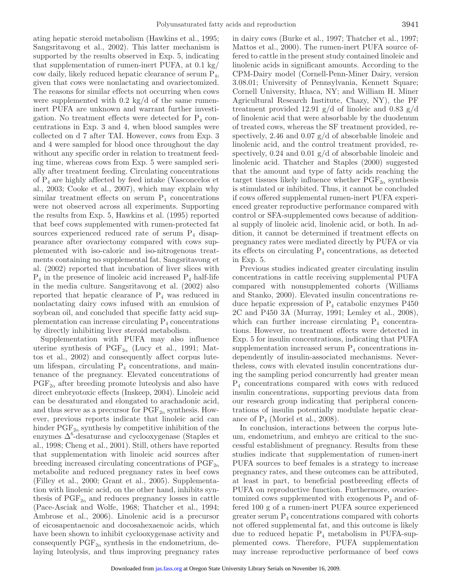ating hepatic steroid metabolism (Hawkins et al., 1995; Sangsritavong et al., 2002). This latter mechanism is supported by the results observed in Exp. 5, indicating that supplementation of rumen-inert PUFA, at 0.1 kg/ cow daily, likely reduced hepatic clearance of serum  $P_4$ , given that cows were nonlactating and ovariectomized. The reasons for similar effects not occurring when cows were supplemented with  $0.2 \text{ kg/d}$  of the same rumeninert PUFA are unknown and warrant further investigation. No treatment effects were detected for  $P_4$  concentrations in Exp. 3 and 4, when blood samples were collected on d 7 after TAI. However, cows from Exp. 3 and 4 were sampled for blood once throughout the day without any specific order in relation to treatment feeding time, whereas cows from Exp. 5 were sampled serially after treatment feeding. Circulating concentrations of  $P_4$  are highly affected by feed intake (Vasconcelos et al., 2003; Cooke et al., 2007), which may explain why similar treatment effects on serum  $P_4$  concentrations were not observed across all experiments. Supporting the results from Exp. 5, Hawkins et al. (1995) reported that beef cows supplemented with rumen-protected fat sources experienced reduced rate of serum  $P_4$  disappearance after ovariectomy compared with cows supplemented with iso-caloric and iso-nitrogenous treatments containing no supplemental fat. Sangsritavong et al. (2002) reported that incubation of liver slices with  $P_4$  in the presence of linoleic acid increased  $P_4$  half-life in the media culture. Sangsritavong et al. (2002) also reported that hepatic clearance of  $P_4$  was reduced in nonlactating dairy cows infused with an emulsion of soybean oil, and concluded that specific fatty acid supplementation can increase circulating  $P_4$  concentrations by directly inhibiting liver steroid metabolism.

Supplementation with PUFA may also influence uterine synthesis of  $\mathrm{PGF}_{2\alpha}$  (Lucy et al., 1991; Mattos et al., 2002) and consequently affect corpus luteum lifespan, circulating  $P_4$  concentrations, and maintenance of the pregnancy. Elevated concentrations of  $PGF_{2\alpha}$  after breeding promote luteolysis and also have direct embryotoxic effects (Inskeep, 2004). Linoleic acid can be desaturated and elongated to arachadonic acid, and thus serve as a precursor for  $\text{PGF}_{2\alpha}$  synthesis. However, previous reports indicate that linoleic acid can hinder  $\mathrm{PGF}_{2\alpha}$  synthesis by competitive inhibition of the enzymes  $\Delta^6$ -desaturase and cyclooxygenase (Staples et al., 1998; Cheng et al., 2001). Still, others have reported that supplementation with linoleic acid sources after breeding increased circulating concentrations of  $PGF_{2\alpha}$ metabolite and reduced pregnancy rates in beef cows (Filley et al., 2000; Grant et al., 2005). Supplementation with linolenic acid, on the other hand, inhibits synthesis of  $\mathrm{PGF}_{2\alpha}$  and reduces pregnancy losses in cattle (Pace-Asciak and Wolfe, 1968; Thatcher et al., 1994; Ambrose et al., 2006). Linolenic acid is a precursor of eicosapentaenoic and docosahexaenoic acids, which have been shown to inhibit cyclooxygenase activity and consequently  $\mathrm{PGF}_{2\alpha}$  synthesis in the endometrium, delaying luteolysis, and thus improving pregnancy rates

in dairy cows (Burke et al., 1997; Thatcher et al., 1997; Mattos et al., 2000). The rumen-inert PUFA source offered to cattle in the present study contained linoleic and linolenic acids in significant amounts. According to the CPM-Dairy model (Cornell-Penn-Miner Dairy, version 3.08.01; University of Pennsylvania, Kennett Square; Cornell University, Ithaca, NY; and William H. Miner Agricultural Research Institute, Chazy, NY), the PF treatment provided 12.91  $g/d$  of linoleic and 0.83  $g/d$ of linolenic acid that were absorbable by the duodenum of treated cows, whereas the SF treatment provided, respectively, 2.46 and 0.07 g/d of absorbable linoleic and linolenic acid, and the control treatment provided, respectively, 0.24 and 0.01 g/d of absorbable linoleic and linolenic acid. Thatcher and Staples (2000) suggested that the amount and type of fatty acids reaching the target tissues likely influence whether  $\text{PGF}_{2\alpha}$  synthesis is stimulated or inhibited. Thus, it cannot be concluded if cows offered supplemental rumen-inert PUFA experienced greater reproductive performance compared with control or SFA-supplemented cows because of additional supply of linoleic acid, linolenic acid, or both. In addition, it cannot be determined if treatment effects on pregnancy rates were mediated directly by PUFA or via its effects on circulating  $P_4$  concentrations, as detected in Exp. 5.

Previous studies indicated greater circulating insulin concentrations in cattle receiving supplemental PUFA compared with nonsupplemented cohorts (Williams and Stanko, 2000). Elevated insulin concentrations reduce hepatic expression of  $P_4$  catabolic enzymes  $P450$ 2C and P450 3A (Murray, 1991; Lemley et al., 2008), which can further increase circulating  $P_4$  concentrations. However, no treatment effects were detected in Exp. 5 for insulin concentrations, indicating that PUFA supplementation increased serum  $P_4$  concentrations independently of insulin-associated mechanisms. Nevertheless, cows with elevated insulin concentrations during the sampling period concurrently had greater mean  $P_4$  concentrations compared with cows with reduced insulin concentrations, supporting previous data from our research group indicating that peripheral concentrations of insulin potentially modulate hepatic clearance of  $P_4$  (Moriel et al., 2008).

In conclusion, interactions between the corpus luteum, endometrium, and embryo are critical to the successful establishment of pregnancy. Results from these studies indicate that supplementation of rumen-inert PUFA sources to beef females is a strategy to increase pregnancy rates, and these outcomes can be attributed, at least in part, to beneficial postbreeding effects of PUFA on reproductive function. Furthermore, ovariectomized cows supplemented with exogenous  $P_4$  and offered 100 g of a rumen-inert PUFA source experienced greater serum  $P_4$  concentrations compared with cohorts not offered supplemental fat, and this outcome is likely due to reduced hepatic  $P_4$  metabolism in PUFA-supplemented cows. Therefore, PUFA supplementation may increase reproductive performance of beef cows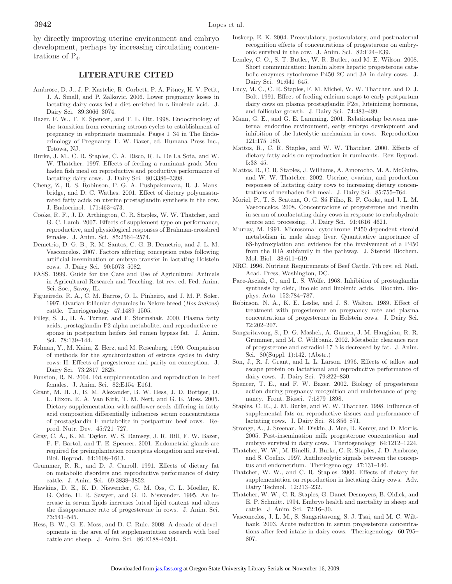by directly improving uterine environment and embryo development, perhaps by increasing circulating concentrations of  $P_4$ .

### **LITERATURE CITED**

- Ambrose, D. J., J. P. Kastelic, R. Corbett, P. A. Pitney, H. V. Petit, J. A. Small, and P. Zalkovic. 2006. Lower pregnancy losses in lactating dairy cows fed a diet enriched in α-linolenic acid. J. Dairy Sci. 89:3066–3074.
- Bazer, F. W., T. E. Spencer, and T. L. Ott. 1998. Endocrinology of the transition from recurring estrous cycles to establishment of pregnancy in subprimate mammals. Pages 1–34 in The Endocrinology of Pregnancy. F. W. Bazer, ed. Humana Press Inc., Totowa, NJ.
- Burke, J. M., C. R. Staples, C. A. Risco, R. L. De La Sota, and W. W. Thatcher. 1997. Effects of feeding a ruminant grade Menhaden fish meal on reproductive and productive performance of lactating dairy cows. J. Dairy Sci. 80:3386–3398.
- Cheng, Z., R. S. Robinson, P. G. A. Pushpakumara, R. J. Mansbridge, and D. C. Wathes. 2001. Effect of dietary polyunsaturated fatty acids on uterine prostaglandin synthesis in the cow. J. Endocrinol. 171:463–473.
- Cooke, R. F., J. D. Arthington, C. R. Staples, W. W. Thatcher, and G. C. Lamb. 2007. Effects of supplement type on performance, reproductive, and physiological responses of Brahman-crossbred females. J. Anim. Sci. 85:2564–2574.
- Demetrio, D. G. B., R. M. Santos, C. G. B. Demetrio, and J. L. M. Vasconcelos. 2007. Factors affecting conception rates following artificial insemination or embryo transfer in lactating Holstein cows. J. Dairy Sci. 90:5073–5082.
- FASS. 1999. Guide for the Care and Use of Agricultural Animals in Agricultural Research and Teaching. 1st rev. ed. Fed. Anim. Sci. Soc., Savoy, IL.
- Figueiredo, R. A., C. M. Barros, O. L. Pinheiro, and J. M. P. Soler. 1997. Ovarian follicular dynamics in Nelore breed (*Bos indicus*) cattle. Theriogenology 47:1489–1505.
- Filley, S. J., H. A. Turner, and F. Stormshak. 2000. Plasma fatty acids, prostaglandin F2 alpha metabolite, and reproductive response in postpartum heifers fed rumen bypass fat. J. Anim. Sci. 78:139–144.
- Folman, Y., M. Kaim, Z. Herz, and M. Rosenberg. 1990. Comparison of methods for the synchronization of estrous cycles in dairy cows: II. Effects of progesterone and parity on conception. J. Dairy Sci. 73:2817–2825.
- Funston, R. N. 2004. Fat supplementation and reproduction in beef females. J. Anim. Sci. 82:E154–E161.
- Grant, M. H. J., B. M. Alexander, B. W. Hess, J. D. Bottger, D. L. Hixon, E. A. Van Kirk, T. M. Nett, and G. E. Moss. 2005. Dietary supplementation with safflower seeds differing in fatty acid composition differentially influences serum concentrations of prostaglandin F metabolite in postpartum beef cows. Reprod. Nutr. Dev. 45:721–727.
- Gray, C. A., K. M. Taylor, W. S. Ramsey, J. R. Hill, F. W. Bazer, F. F. Bartol, and T. E. Spencer. 2001. Endometrial glands are required for preimplantation conceptus elongation and survival. Biol. Reprod. 64:1608–1613.
- Grummer, R. R., and D. J. Carroll. 1991. Effects of dietary fat on metabolic disorders and reproductive performance of dairy cattle. J. Anim. Sci. 69:3838–3852.
- Hawkins, D. E., K. D. Niswender, G. M. Oss, C. L. Moeller, K. G. Odde, H. R. Sawyer, and G. D. Niswender. 1995. An increase in serum lipids increases luteal lipid content and alters the disappearance rate of progesterone in cows. J. Anim. Sci. 73:541–545.
- Hess, B. W., G. E. Moss, and D. C. Rule. 2008. A decade of developments in the area of fat supplementation research with beef cattle and sheep. J. Anim. Sci. 86:E188–E204.
- Inskeep, E. K. 2004. Preovulatory, postovulatory, and postmaternal recognition effects of concentrations of progesterone on embryonic survival in the cow. J. Anim. Sci. 82:E24–E39.
- Lemley, C. O., S. T. Butler, W. R. Butler, and M. E. Wilson. 2008. Short communication: Insulin alters hepatic progesterone catabolic enzymes cytochrome P450 2C and 3A in dairy cows. J. Dairy Sci. 91:641–645.
- Lucy, M. C., C. R. Staples, F. M. Michel, W. W. Thatcher, and D. J. Bolt. 1991. Effect of feeding calcium soaps to early postpartum dairy cows on plasma prostaglandin  $F2\alpha$ , luteinizing hormone, and follicular growth. J. Dairy Sci. 74:483–489.
- Mann, G. E., and G. E. Lamming. 2001. Relationship between maternal endocrine environment, early embryo development and inhibition of the luteolytic mechanism in cows. Reproduction 121:175–180.
- Mattos, R., C. R. Staples, and W. W. Thatcher. 2000. Effects of dietary fatty acids on reproduction in ruminants. Rev. Reprod. 5:38–45.
- Mattos, R., C. R. Staples, J. Williams, A. Amorocho, M. A. McGuire, and W. W. Thatcher. 2002. Uterine, ovarian, and production responses of lactating dairy cows to increasing dietary concentrations of menhaden fish meal. J. Dairy Sci. 85:755–764.
- Moriel, P., T. S. Scatena, O. G. Sá Filho, R. F. Cooke, and J. L. M. Vasconcelos. 2008. Concentrations of progesterone and insulin in serum of nonlactating dairy cows in response to carbohydrate source and processing. J. Dairy Sci. 91:4616–4621.
- Murray, M. 1991. Microsomal cytochrome P450-dependent steroid metabolism in male sheep liver. Quantitative importance of 6β-hydroxylation and evidence for the involvement of a P450 from the IIIA subfamily in the pathway. J. Steroid Biochem. Mol. Biol. 38:611–619.
- NRC. 1996. Nutrient Requirements of Beef Cattle. 7th rev. ed. Natl. Acad. Press, Washington, DC.
- Pace-Asciak, C., and L. S. Wolfe. 1968. Inhibition of prostaglandin synthesis by oleic, linoleic and linolenic acids. Biochim. Biophys. Acta 152:784–787.
- Robinson, N. A., K. E. Leslie, and J. S. Walton. 1989. Effect of treatment with progesterone on pregnancy rate and plasma concentrations of progesterone in Holstein cows. J. Dairy Sci. 72:202–207.
- Sangsritavong, S., D. G. Mashek, A. Gumen, J. M. Haughian, R. R. Grummer, and M. C. Wiltbank. 2002. Metabolic clearance rate of progesterone and estradiol-17 β is decreased by fat. J. Anim. Sci. 80(Suppl. 1):142. (Abstr.)
- Son, J., R. J. Grant, and L. L. Larson. 1996. Effects of tallow and escape protein on lactational and reproductive performance of dairy cows. J. Dairy Sci. 79:822–830.
- Spencer, T. E., and F. W. Bazer. 2002. Biology of progesterone action during pregnancy recognition and maintenance of pregnancy. Front. Biosci. 7:1879–1898.
- Staples, C. R., J. M. Burke, and W. W. Thatcher. 1998. Influence of supplemental fats on reproductive tissues and performance of lactating cows. J. Dairy Sci. 81:856–871.
- Stronge, A., J. Sreenan, M. Diskin, J. Mee, D. Kenny, and D. Morris. 2005. Post-insemination milk progesterone concentration and embryo survival in dairy cows. Theriogenology 64:1212–1224.
- Thatcher, W. W., M. Binelli, J. Burke, C. R. Staples, J. D. Ambrose, and S. Coelho. 1997. Antiluteolytic signals between the conceptus and endometrium. Theriogenology 47:131–140.
- Thatcher, W. W., and C. R. Staples. 2000. Effects of dietary fat supplementation on reproduction in lactating dairy cows. Adv. Dairy Technol. 12:213–232.
- Thatcher, W. W., C. R. Staples, G. Danet-Desnoyers, B. Oldick, and E. P. Schmitt. 1994. Embryo health and mortality in sheep and cattle. J. Anim. Sci. 72:16–30.
- Vasconcelos, J. L. M., S. Sangsritavong, S. J. Tsai, and M. C. Wiltbank. 2003. Acute reduction in serum progesterone concentrations after feed intake in dairy cows. Theriogenology 60:795– 807.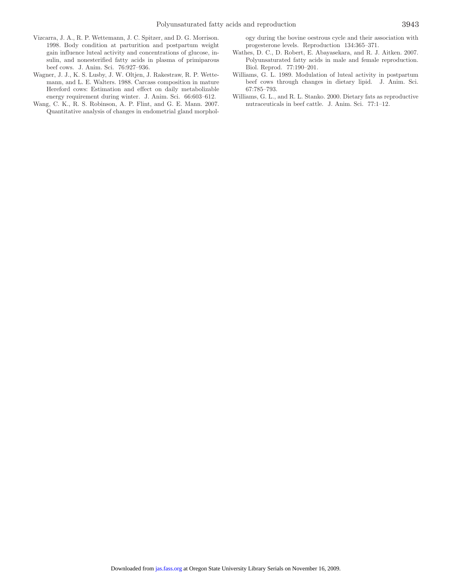- Vizcarra, J. A., R. P. Wettemann, J. C. Spitzer, and D. G. Morrison. 1998. Body condition at parturition and postpartum weight gain influence luteal activity and concentrations of glucose, insulin, and nonesterified fatty acids in plasma of primiparous beef cows. J. Anim. Sci. 76:927–936.
- Wagner, J. J., K. S. Lusby, J. W. Oltjen, J. Rakestraw, R. P. Wettemann, and L. E. Walters. 1988. Carcass composition in mature Hereford cows: Estimation and effect on daily metabolizable energy requirement during winter. J. Anim. Sci. 66:603–612.
- Wang, C. K., R. S. Robinson, A. P. Flint, and G. E. Mann. 2007. Quantitative analysis of changes in endometrial gland morphol-

ogy during the bovine oestrous cycle and their association with progesterone levels. Reproduction 134:365–371.

- Wathes, D. C., D. Robert, E. Abayasekara, and R. J. Aitken. 2007. Polyunsaturated fatty acids in male and female reproduction. Biol. Reprod. 77:190–201.
- Williams, G. L. 1989. Modulation of luteal activity in postpartum beef cows through changes in dietary lipid. J. Anim. Sci. 67:785–793.
- Williams, G. L., and R. L. Stanko. 2000. Dietary fats as reproductive nutraceuticals in beef cattle. J. Anim. Sci. 77:1–12.